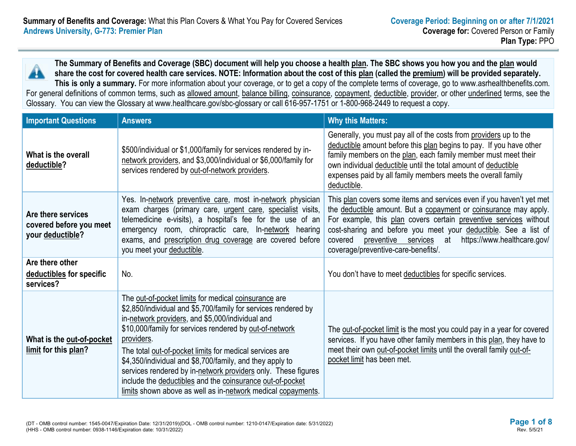**The Summary of Benefits and Coverage (SBC) document will help you choose a health plan. The SBC shows you how you and the plan would share the cost for covered health care services. NOTE: Information about the cost of this plan (called the premium) will be provided separately. This is only a summary.** For more information about your coverage, or to get a copy of the complete terms of coverage, go to www.asrhealthbenefits.com.

For general definitions of common terms, such as allowed amount, balance billing, coinsurance, copayment, deductible, provider, or other underlined terms, see the Glossary. You can view the Glossary at www.healthcare.gov/sbc-glossary or call 616-957-1751 or 1-800-968-2449 to request a copy.

| <b>Important Questions</b>                                        | <b>Answers</b>                                                                                                                                                                                                                                                                                                                                                                                                                                                                                                                                                           | <b>Why this Matters:</b>                                                                                                                                                                                                                                                                                                                                                                 |
|-------------------------------------------------------------------|--------------------------------------------------------------------------------------------------------------------------------------------------------------------------------------------------------------------------------------------------------------------------------------------------------------------------------------------------------------------------------------------------------------------------------------------------------------------------------------------------------------------------------------------------------------------------|------------------------------------------------------------------------------------------------------------------------------------------------------------------------------------------------------------------------------------------------------------------------------------------------------------------------------------------------------------------------------------------|
| What is the overall<br>deductible?                                | \$500/individual or \$1,000/family for services rendered by in-<br>network providers, and \$3,000/individual or \$6,000/family for<br>services rendered by out-of-network providers.                                                                                                                                                                                                                                                                                                                                                                                     | Generally, you must pay all of the costs from providers up to the<br>deductible amount before this plan begins to pay. If you have other<br>family members on the plan, each family member must meet their<br>own individual deductible until the total amount of deductible<br>expenses paid by all family members meets the overall family<br>deductible.                              |
| Are there services<br>covered before you meet<br>your deductible? | Yes. In-network preventive care, most in-network physician<br>exam charges (primary care, urgent care, specialist visits,<br>telemedicine e-visits), a hospital's fee for the use of an<br>emergency room, chiropractic care, In-network hearing<br>exams, and prescription drug coverage are covered before<br>you meet your deductible.                                                                                                                                                                                                                                | This plan covers some items and services even if you haven't yet met<br>the deductible amount. But a copayment or coinsurance may apply.<br>For example, this plan covers certain preventive services without<br>cost-sharing and before you meet your deductible. See a list of<br>preventive services at https://www.healthcare.gov/<br>covered<br>coverage/preventive-care-benefits/. |
| Are there other<br>deductibles for specific<br>services?          | No.                                                                                                                                                                                                                                                                                                                                                                                                                                                                                                                                                                      | You don't have to meet deductibles for specific services.                                                                                                                                                                                                                                                                                                                                |
| What is the out-of-pocket<br>limit for this plan?                 | The out-of-pocket limits for medical coinsurance are<br>\$2,850/individual and \$5,700/family for services rendered by<br>in-network providers, and \$5,000/individual and<br>\$10,000/family for services rendered by out-of-network<br>providers.<br>The total out-of-pocket limits for medical services are<br>\$4,350/individual and \$8,700/family, and they apply to<br>services rendered by in-network providers only. These figures<br>include the deductibles and the coinsurance out-of-pocket<br>limits shown above as well as in-network medical copayments. | The out-of-pocket limit is the most you could pay in a year for covered<br>services. If you have other family members in this plan, they have to<br>meet their own out-of-pocket limits until the overall family out-of-<br>pocket limit has been met.                                                                                                                                   |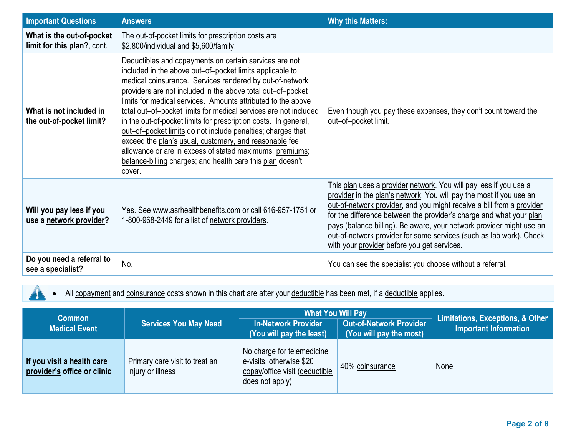| <b>Important Questions</b>                               | <b>Answers</b>                                                                                                                                                                                                                                                                                                                                                                                                                                                                                                                                                                                                                                                                                                    | <b>Why this Matters:</b>                                                                                                                                                                                                                                                                                                                                                                                                                                                               |
|----------------------------------------------------------|-------------------------------------------------------------------------------------------------------------------------------------------------------------------------------------------------------------------------------------------------------------------------------------------------------------------------------------------------------------------------------------------------------------------------------------------------------------------------------------------------------------------------------------------------------------------------------------------------------------------------------------------------------------------------------------------------------------------|----------------------------------------------------------------------------------------------------------------------------------------------------------------------------------------------------------------------------------------------------------------------------------------------------------------------------------------------------------------------------------------------------------------------------------------------------------------------------------------|
| What is the out-of-pocket<br>limit for this plan?, cont. | The out-of-pocket limits for prescription costs are<br>\$2,800/individual and \$5,600/family.                                                                                                                                                                                                                                                                                                                                                                                                                                                                                                                                                                                                                     |                                                                                                                                                                                                                                                                                                                                                                                                                                                                                        |
| What is not included in<br>the out-of-pocket limit?      | Deductibles and copayments on certain services are not<br>included in the above out-of-pocket limits applicable to<br>medical coinsurance. Services rendered by out-of-network<br>providers are not included in the above total out-of-pocket<br>limits for medical services. Amounts attributed to the above<br>total out-of-pocket limits for medical services are not included<br>in the out-of-pocket limits for prescription costs. In general,<br>out-of-pocket limits do not include penalties; charges that<br>exceed the plan's usual, customary, and reasonable fee<br>allowance or are in excess of stated maximums; premiums;<br>balance-billing charges; and health care this plan doesn't<br>cover. | Even though you pay these expenses, they don't count toward the<br>out-of-pocket limit.                                                                                                                                                                                                                                                                                                                                                                                                |
| Will you pay less if you<br>use a network provider?      | Yes. See www.asrhealthbenefits.com or call 616-957-1751 or<br>1-800-968-2449 for a list of network providers.                                                                                                                                                                                                                                                                                                                                                                                                                                                                                                                                                                                                     | This plan uses a provider network. You will pay less if you use a<br>provider in the plan's network. You will pay the most if you use an<br>out-of-network provider, and you might receive a bill from a provider<br>for the difference between the provider's charge and what your plan<br>pays (balance billing). Be aware, your network provider might use an<br>out-of-network provider for some services (such as lab work). Check<br>with your provider before you get services. |
| Do you need a referral to<br>see a specialist?           | No.                                                                                                                                                                                                                                                                                                                                                                                                                                                                                                                                                                                                                                                                                                               | You can see the specialist you choose without a referral.                                                                                                                                                                                                                                                                                                                                                                                                                              |

• All **copayment** and **coinsurance** costs shown in this chart are after your **deductible** has been met, if a *deductible* applies.

 $\blacktriangle$ 

| <b>Common</b><br><b>Medical Event</b>                     | <b>Services You May Need</b>                        | <b>What You Will Pay</b><br><b>Out-of-Network Provider</b><br><b>In-Network Provider</b><br>$\sqrt{(You will pay the most)}$<br>(You will pay the least) |                 | Limitations, Exceptions, & Other<br><b>Important Information</b> |
|-----------------------------------------------------------|-----------------------------------------------------|----------------------------------------------------------------------------------------------------------------------------------------------------------|-----------------|------------------------------------------------------------------|
| If you visit a health care<br>provider's office or clinic | Primary care visit to treat an<br>injury or illness | No charge for telemedicine<br>e-visits, otherwise \$20<br>copay/office visit (deductible<br>does not apply)                                              | 40% coinsurance | None                                                             |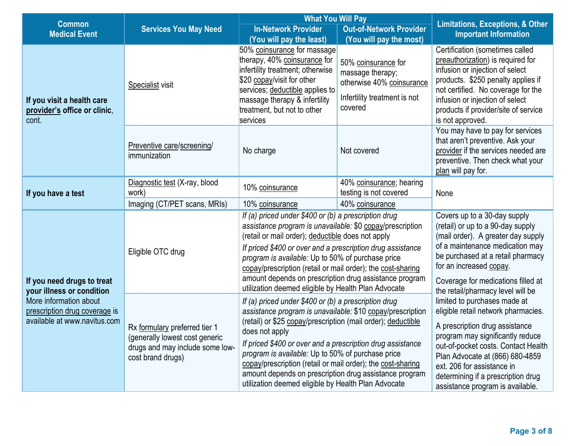| <b>Common</b>                                                                                                        |                                                                                                                         | <b>What You Will Pay</b>                                                                                                                                                                                                                                                                                                                                                                                                                                                                                                                                       | <b>Limitations, Exceptions, &amp; Other</b>                                                                     |                                                                                                                                                                                                                                                                                                                                                                  |  |
|----------------------------------------------------------------------------------------------------------------------|-------------------------------------------------------------------------------------------------------------------------|----------------------------------------------------------------------------------------------------------------------------------------------------------------------------------------------------------------------------------------------------------------------------------------------------------------------------------------------------------------------------------------------------------------------------------------------------------------------------------------------------------------------------------------------------------------|-----------------------------------------------------------------------------------------------------------------|------------------------------------------------------------------------------------------------------------------------------------------------------------------------------------------------------------------------------------------------------------------------------------------------------------------------------------------------------------------|--|
| <b>Medical Event</b>                                                                                                 | <b>Services You May Need</b>                                                                                            | <b>In-Network Provider</b><br><b>Out-of-Network Provider</b>                                                                                                                                                                                                                                                                                                                                                                                                                                                                                                   |                                                                                                                 | <b>Important Information</b>                                                                                                                                                                                                                                                                                                                                     |  |
|                                                                                                                      |                                                                                                                         | (You will pay the least)                                                                                                                                                                                                                                                                                                                                                                                                                                                                                                                                       | (You will pay the most)                                                                                         |                                                                                                                                                                                                                                                                                                                                                                  |  |
| If you visit a health care<br>provider's office or clinic,<br>cont.                                                  | Specialist visit                                                                                                        | 50% coinsurance for massage<br>therapy, 40% coinsurance for<br>infertility treatment; otherwise<br>\$20 copay/visit for other<br>services; deductible applies to<br>massage therapy & infertility<br>treatment, but not to other<br>services                                                                                                                                                                                                                                                                                                                   | 50% coinsurance for<br>massage therapy;<br>otherwise 40% coinsurance<br>Infertility treatment is not<br>covered | Certification (sometimes called<br>preauthorization) is required for<br>infusion or injection of select<br>products. \$250 penalty applies if<br>not certified. No coverage for the<br>infusion or injection of select<br>products if provider/site of service<br>is not approved.                                                                               |  |
|                                                                                                                      | Preventive care/screening/<br>immunization                                                                              | No charge                                                                                                                                                                                                                                                                                                                                                                                                                                                                                                                                                      | Not covered                                                                                                     | You may have to pay for services<br>that aren't preventive. Ask your<br>provider if the services needed are<br>preventive. Then check what your<br>plan will pay for.                                                                                                                                                                                            |  |
|                                                                                                                      | Diagnostic test (X-ray, blood                                                                                           | 10% coinsurance                                                                                                                                                                                                                                                                                                                                                                                                                                                                                                                                                | 40% coinsurance; hearing                                                                                        |                                                                                                                                                                                                                                                                                                                                                                  |  |
| If you have a test                                                                                                   | work)                                                                                                                   |                                                                                                                                                                                                                                                                                                                                                                                                                                                                                                                                                                | testing is not covered                                                                                          | None                                                                                                                                                                                                                                                                                                                                                             |  |
|                                                                                                                      | Imaging (CT/PET scans, MRIs)                                                                                            | 10% coinsurance                                                                                                                                                                                                                                                                                                                                                                                                                                                                                                                                                | 40% coinsurance                                                                                                 |                                                                                                                                                                                                                                                                                                                                                                  |  |
|                                                                                                                      | Eligible OTC drug                                                                                                       | If (a) priced under \$400 or (b) a prescription drug<br>assistance program is unavailable: \$0 copay/prescription<br>(retail or mail order); deductible does not apply<br>If priced \$400 or over and a prescription drug assistance<br>program is available: Up to 50% of purchase price<br>copay/prescription (retail or mail order); the cost-sharing                                                                                                                                                                                                       |                                                                                                                 | Covers up to a 30-day supply<br>(retail) or up to a 90-day supply<br>(mail order). A greater day supply<br>of a maintenance medication may<br>be purchased at a retail pharmacy<br>for an increased copay.                                                                                                                                                       |  |
| If you need drugs to treat                                                                                           |                                                                                                                         | amount depends on prescription drug assistance program                                                                                                                                                                                                                                                                                                                                                                                                                                                                                                         | Coverage for medications filled at                                                                              |                                                                                                                                                                                                                                                                                                                                                                  |  |
| your illness or condition<br>More information about<br>prescription drug coverage is<br>available at www.navitus.com | Rx formulary preferred tier 1<br>(generally lowest cost generic<br>drugs and may include some low-<br>cost brand drugs) | utilization deemed eligible by Health Plan Advocate<br>If (a) priced under \$400 or (b) a prescription drug<br>assistance program is unavailable: \$10 copay/prescription<br>(retail) or \$25 copay/prescription (mail order); deductible<br>does not apply<br>If priced \$400 or over and a prescription drug assistance<br>program is available: Up to 50% of purchase price<br>copay/prescription (retail or mail order); the cost-sharing<br>amount depends on prescription drug assistance program<br>utilization deemed eligible by Health Plan Advocate |                                                                                                                 | the retail/pharmacy level will be<br>limited to purchases made at<br>eligible retail network pharmacies.<br>A prescription drug assistance<br>program may significantly reduce<br>out-of-pocket costs. Contact Health<br>Plan Advocate at (866) 680-4859<br>ext. 206 for assistance in<br>determining if a prescription drug<br>assistance program is available. |  |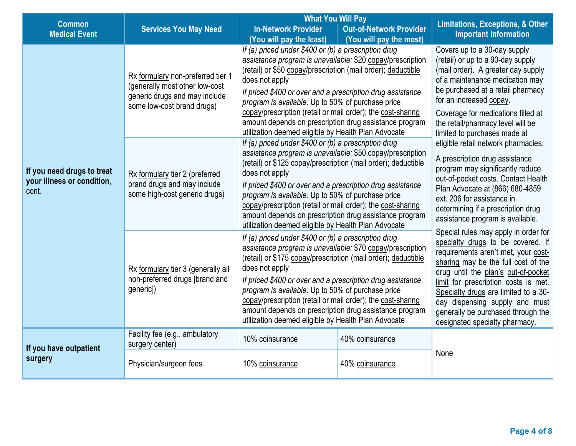| <b>Common</b>                                                     |                                                                                                                                    | <b>What You Will Pay</b>                                                                                                                                                                                                                                                                                                                                                                                                                                                                                 | <b>Limitations, Exceptions, &amp; Other</b>                                                                                                                                                                                                                                                                           |                                                                                                                                                                                                                                                                                                                                                                                          |
|-------------------------------------------------------------------|------------------------------------------------------------------------------------------------------------------------------------|----------------------------------------------------------------------------------------------------------------------------------------------------------------------------------------------------------------------------------------------------------------------------------------------------------------------------------------------------------------------------------------------------------------------------------------------------------------------------------------------------------|-----------------------------------------------------------------------------------------------------------------------------------------------------------------------------------------------------------------------------------------------------------------------------------------------------------------------|------------------------------------------------------------------------------------------------------------------------------------------------------------------------------------------------------------------------------------------------------------------------------------------------------------------------------------------------------------------------------------------|
| <b>Medical Event</b>                                              | <b>Services You May Need</b>                                                                                                       | <b>In-Network Provider</b><br>(You will pay the least)                                                                                                                                                                                                                                                                                                                                                                                                                                                   | <b>Out-of-Network Provider</b><br>(You will pay the most)                                                                                                                                                                                                                                                             | <b>Important Information</b>                                                                                                                                                                                                                                                                                                                                                             |
| If you need drugs to treat<br>your illness or condition,<br>cont. | Rx formulary non-preferred tier 1<br>(generally most other low-cost<br>generic drugs and may include<br>some low-cost brand drugs) | If (a) priced under \$400 or (b) a prescription drug<br>assistance program is unavailable: \$20 copay/prescription<br>(retail) or \$50 copay/prescription (mail order); deductible<br>does not apply<br>If priced \$400 or over and a prescription drug assistance<br>program is available: Up to 50% of purchase price<br>copay/prescription (retail or mail order); the cost-sharing<br>amount depends on prescription drug assistance program<br>utilization deemed eligible by Health Plan Advocate  | Covers up to a 30-day supply<br>(retail) or up to a 90-day supply<br>(mail order). A greater day supply<br>of a maintenance medication may<br>be purchased at a retail pharmacy<br>for an increased copay.<br>Coverage for medications filled at<br>the retail/pharmacy level will be<br>limited to purchases made at |                                                                                                                                                                                                                                                                                                                                                                                          |
|                                                                   | Rx formulary tier 2 (preferred<br>brand drugs and may include<br>some high-cost generic drugs)                                     | If (a) priced under \$400 or (b) a prescription drug<br>assistance program is unavailable: \$50 copay/prescription<br>(retail) or \$125 copay/prescription (mail order); deductible<br>does not apply<br>If priced \$400 or over and a prescription drug assistance<br>program is available: Up to 50% of purchase price<br>copay/prescription (retail or mail order); the cost-sharing<br>amount depends on prescription drug assistance program<br>utilization deemed eligible by Health Plan Advocate |                                                                                                                                                                                                                                                                                                                       | eligible retail network pharmacies.<br>A prescription drug assistance<br>program may significantly reduce<br>out-of-pocket costs. Contact Health<br>Plan Advocate at (866) 680-4859<br>ext. 206 for assistance in<br>determining if a prescription drug<br>assistance program is available.                                                                                              |
|                                                                   | Rx formulary tier 3 (generally all<br>non-preferred drugs [brand and<br>generic])                                                  | If (a) priced under \$400 or (b) a prescription drug<br>assistance program is unavailable: \$70 copay/prescription<br>(retail) or \$175 copay/prescription (mail order); deductible<br>does not apply<br>If priced \$400 or over and a prescription drug assistance<br>program is available: Up to 50% of purchase price<br>copay/prescription (retail or mail order); the cost-sharing<br>amount depends on prescription drug assistance program<br>utilization deemed eligible by Health Plan Advocate |                                                                                                                                                                                                                                                                                                                       | Special rules may apply in order for<br>specialty drugs to be covered. If<br>requirements aren't met, your cost-<br>sharing may be the full cost of the<br>drug until the plan's out-of-pocket<br>limit for prescription costs is met.<br>Specialty drugs are limited to a 30-<br>day dispensing supply and must<br>generally be purchased through the<br>designated specialty pharmacy. |
| If you have outpatient                                            | Facility fee (e.g., ambulatory<br>surgery center)                                                                                  | 10% coinsurance                                                                                                                                                                                                                                                                                                                                                                                                                                                                                          | 40% coinsurance                                                                                                                                                                                                                                                                                                       |                                                                                                                                                                                                                                                                                                                                                                                          |
| surgery                                                           | Physician/surgeon fees                                                                                                             | 10% coinsurance                                                                                                                                                                                                                                                                                                                                                                                                                                                                                          | 40% coinsurance                                                                                                                                                                                                                                                                                                       | None                                                                                                                                                                                                                                                                                                                                                                                     |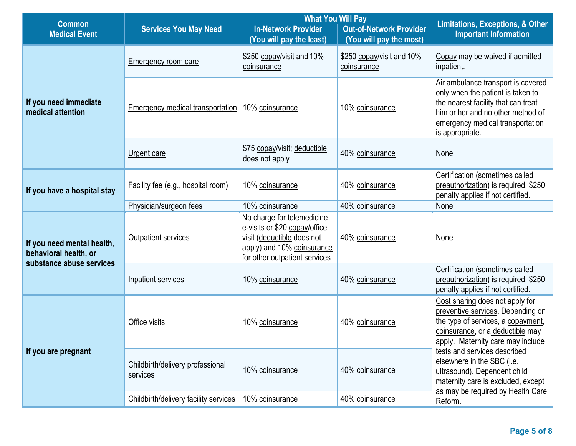|                                                     |                                              | <b>What You Will Pay</b>                                                                                                                                 |                                          |                                                                                                                                                                                                            |
|-----------------------------------------------------|----------------------------------------------|----------------------------------------------------------------------------------------------------------------------------------------------------------|------------------------------------------|------------------------------------------------------------------------------------------------------------------------------------------------------------------------------------------------------------|
| <b>Common</b><br><b>Medical Event</b>               | <b>Services You May Need</b>                 | <b>In-Network Provider</b>                                                                                                                               | <b>Out-of-Network Provider</b>           | <b>Limitations, Exceptions, &amp; Other</b><br><b>Important Information</b>                                                                                                                                |
|                                                     |                                              | (You will pay the least)                                                                                                                                 | (You will pay the most)                  |                                                                                                                                                                                                            |
|                                                     | <b>Emergency room care</b>                   | \$250 copay/visit and 10%<br>coinsurance                                                                                                                 | \$250 copay/visit and 10%<br>coinsurance | Copay may be waived if admitted<br>inpatient.                                                                                                                                                              |
| If you need immediate<br>medical attention          | Emergency medical transportation             | 10% coinsurance                                                                                                                                          | 10% coinsurance                          | Air ambulance transport is covered<br>only when the patient is taken to<br>the nearest facility that can treat<br>him or her and no other method of<br>emergency medical transportation<br>is appropriate. |
|                                                     | Urgent care                                  | \$75 copay/visit; deductible<br>does not apply                                                                                                           | 40% coinsurance                          | None                                                                                                                                                                                                       |
| If you have a hospital stay                         | Facility fee (e.g., hospital room)           | 10% coinsurance                                                                                                                                          | 40% coinsurance                          | Certification (sometimes called<br>preauthorization) is required. \$250<br>penalty applies if not certified.                                                                                               |
|                                                     | Physician/surgeon fees                       | 10% coinsurance                                                                                                                                          | 40% coinsurance                          | None                                                                                                                                                                                                       |
| If you need mental health,<br>behavioral health, or | <b>Outpatient services</b>                   | No charge for telemedicine<br>e-visits or \$20 copay/office<br>visit (deductible does not<br>apply) and 10% coinsurance<br>for other outpatient services | 40% coinsurance                          | None                                                                                                                                                                                                       |
| substance abuse services                            | Inpatient services                           | 10% coinsurance                                                                                                                                          | 40% coinsurance                          | Certification (sometimes called<br>preauthorization) is required. \$250<br>penalty applies if not certified.                                                                                               |
|                                                     | Office visits                                | 10% coinsurance                                                                                                                                          | 40% coinsurance                          | Cost sharing does not apply for<br>preventive services. Depending on<br>the type of services, a copayment,<br>coinsurance, or a deductible may<br>apply. Maternity care may include                        |
| If you are pregnant                                 | Childbirth/delivery professional<br>services | 10% coinsurance                                                                                                                                          | 40% coinsurance                          | tests and services described<br>elsewhere in the SBC (i.e.<br>ultrasound). Dependent child<br>maternity care is excluded, except<br>as may be required by Health Care                                      |
|                                                     | Childbirth/delivery facility services        | 10% coinsurance                                                                                                                                          | 40% coinsurance                          | Reform.                                                                                                                                                                                                    |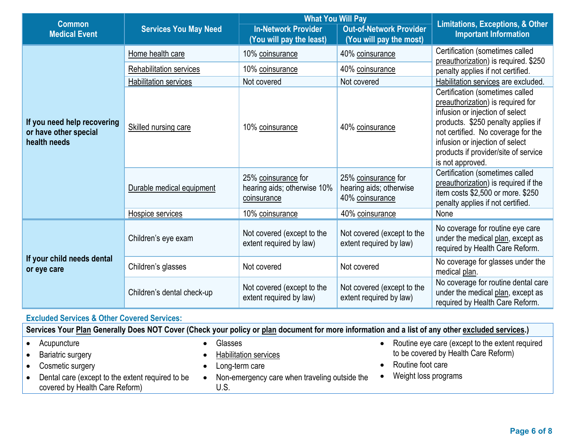| <b>Common</b>                                                        |                                | <b>What You Will Pay</b>                                          | <b>Limitations, Exceptions, &amp; Other</b><br><b>Important Information</b> |                                                                                                                                                                                                                                                                                    |  |
|----------------------------------------------------------------------|--------------------------------|-------------------------------------------------------------------|-----------------------------------------------------------------------------|------------------------------------------------------------------------------------------------------------------------------------------------------------------------------------------------------------------------------------------------------------------------------------|--|
| <b>Medical Event</b>                                                 | <b>Services You May Need</b>   | <b>In-Network Provider</b><br>(You will pay the least)            |                                                                             |                                                                                                                                                                                                                                                                                    |  |
|                                                                      | Home health care               | 10% coinsurance                                                   | 40% coinsurance                                                             | Certification (sometimes called<br>preauthorization) is required. \$250                                                                                                                                                                                                            |  |
|                                                                      | <b>Rehabilitation services</b> | 10% coinsurance                                                   | 40% coinsurance                                                             | penalty applies if not certified.                                                                                                                                                                                                                                                  |  |
|                                                                      | <b>Habilitation services</b>   | Not covered                                                       | Not covered                                                                 | Habilitation services are excluded.                                                                                                                                                                                                                                                |  |
| If you need help recovering<br>or have other special<br>health needs | Skilled nursing care           | 10% coinsurance                                                   | 40% coinsurance                                                             | Certification (sometimes called<br>preauthorization) is required for<br>infusion or injection of select<br>products. \$250 penalty applies if<br>not certified. No coverage for the<br>infusion or injection of select<br>products if provider/site of service<br>is not approved. |  |
|                                                                      | Durable medical equipment      | 25% coinsurance for<br>hearing aids; otherwise 10%<br>coinsurance | 25% coinsurance for<br>hearing aids; otherwise<br>40% coinsurance           | Certification (sometimes called<br>preauthorization) is required if the<br>item costs \$2,500 or more. \$250<br>penalty applies if not certified.                                                                                                                                  |  |
|                                                                      | Hospice services               | 10% coinsurance                                                   | 40% coinsurance                                                             | None                                                                                                                                                                                                                                                                               |  |
|                                                                      | Children's eye exam            | Not covered (except to the<br>extent required by law)             | Not covered (except to the<br>extent required by law)                       | No coverage for routine eye care<br>under the medical plan, except as<br>required by Health Care Reform.                                                                                                                                                                           |  |
| If your child needs dental<br>or eye care                            | Children's glasses             | Not covered                                                       | Not covered                                                                 | No coverage for glasses under the<br>medical plan.                                                                                                                                                                                                                                 |  |
|                                                                      | Children's dental check-up     | Not covered (except to the<br>extent required by law)             | Not covered (except to the<br>extent required by law)                       | No coverage for routine dental care<br>under the medical plan, except as<br>required by Health Care Reform.                                                                                                                                                                        |  |

# **Excluded Services & Other Covered Services:**

| Services Your Plan Generally Does NOT Cover (Check your policy or plan document for more information and a list of any other excluded services.) |                                                       |                                                 |
|--------------------------------------------------------------------------------------------------------------------------------------------------|-------------------------------------------------------|-------------------------------------------------|
| Acupuncture                                                                                                                                      | Glasses                                               | Routine eye care (except to the extent required |
| <b>Bariatric surgery</b>                                                                                                                         | <b>Habilitation services</b>                          | to be covered by Health Care Reform)            |
| Cosmetic surgery                                                                                                                                 | Long-term care                                        | Routine foot care                               |
| Dental care (except to the extent required to be<br>covered by Health Care Reform)                                                               | Non-emergency care when traveling outside the<br>U.S. | Weight loss programs                            |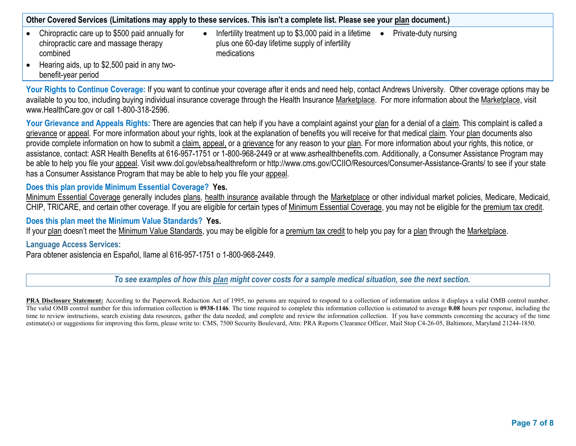**Other Covered Services (Limitations may apply to these services. This isn't a complete list. Please see your plan document.)**

- Chiropractic care up to \$500 paid annually for chiropractic care and massage therapy combined
- Infertility treatment up to \$3,000 paid in a lifetime  $\bullet$ plus one 60-day lifetime supply of infertility medications
	- Private-duty nursing

• Hearing aids, up to \$2,500 paid in any twobenefit-year period

Your Rights to Continue Coverage: If you want to continue your coverage after it ends and need help, contact Andrews University. Other coverage options may be available to you too, including buying individual insurance coverage through the Health Insurance Marketplace. For more information about the Marketplace, visit www.HealthCare.gov or call 1-800-318-2596.

Your Grievance and Appeals Rights: There are agencies that can help if you have a complaint against your plan for a denial of a claim. This complaint is called a grievance or appeal. For more information about your rights, look at the explanation of benefits you will receive for that medical claim. Your plan documents also provide complete information on how to submit a claim, appeal, or a grievance for any reason to your plan. For more information about your rights, this notice, or assistance, contact: ASR Health Benefits at 616-957-1751 or 1-800-968-2449 or at www.asrhealthbenefits.com. Additionally, a Consumer Assistance Program may be able to help you file your appeal. Visit www.dol.gov/ebsa/healthreform or http://www.cms.gov/CCIIO/Resources/Consumer-Assistance-Grants/ to see if your state has a Consumer Assistance Program that may be able to help you file your appeal.

### **Does this plan provide Minimum Essential Coverage? Yes.**

Minimum Essential Coverage generally includes plans, health insurance available through the Marketplace or other individual market policies, Medicare, Medicaid, CHIP, TRICARE, and certain other coverage. If you are eligible for certain types of Minimum Essential Coverage, you may not be eligible for the premium tax credit.

#### **Does this plan meet the Minimum Value Standards? Yes.**

If your plan doesn't meet the Minimum Value Standards, you may be eligible for a premium tax credit to help you pay for a plan through the Marketplace.

#### **Language Access Services:**

Para obtener asistencia en Español, llame al 616-957-1751 o 1-800-968-2449.

*To see examples of how this plan might cover costs for a sample medical situation, see the next section.*

**PRA Disclosure Statement:** According to the Paperwork Reduction Act of 1995, no persons are required to respond to a collection of information unless it displays a valid OMB control number. The valid OMB control number for this information collection is **0938-1146**. The time required to complete this information collection is estimated to average **0.08** hours per response, including the time to review instructions, search existing data resources, gather the data needed, and complete and review the information collection. If you have comments concerning the accuracy of the time estimate(s) or suggestions for improving this form, please write to: CMS, 7500 Security Boulevard, Attn: PRA Reports Clearance Officer, Mail Stop C4-26-05, Baltimore, Maryland 21244-1850.